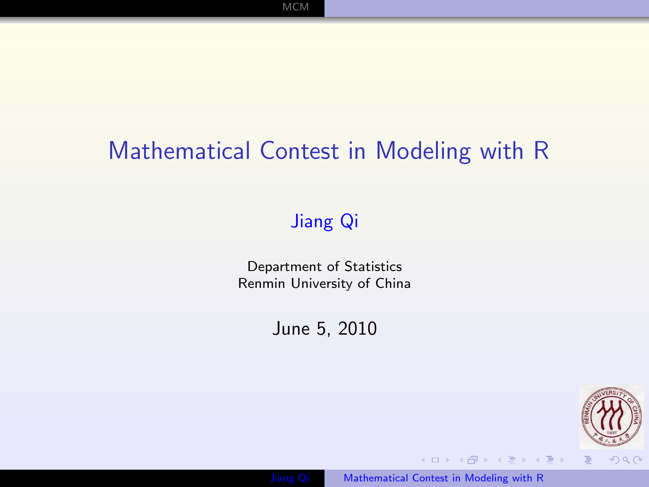# Mathematical Contest in Modeling with R

[MCM](#page-1-0)

### [Jiang Qi](file:jiangqi8908@gmail.com)

Department of Statistics Renmin University of China

June 5, 2010

<span id="page-0-0"></span>



 $\mathcal{A} \subseteq \mathcal{P} \rightarrow \mathcal{A} \oplus \mathcal{P} \rightarrow \mathcal{A} \oplus \mathcal{P} \rightarrow \mathcal{A} \oplus \mathcal{P}$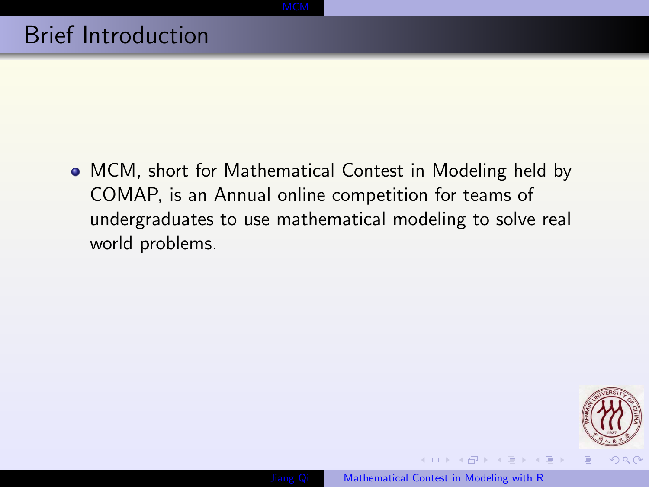MCM, short for Mathematical Contest in Modeling held by COMAP, is an Annual online competition for teams of undergraduates to use mathematical modeling to solve real world problems.

<span id="page-1-0"></span>

 $\left\{ \begin{array}{ccc} 1 & 0 & 0 \\ 0 & 1 & 0 \end{array} \right.$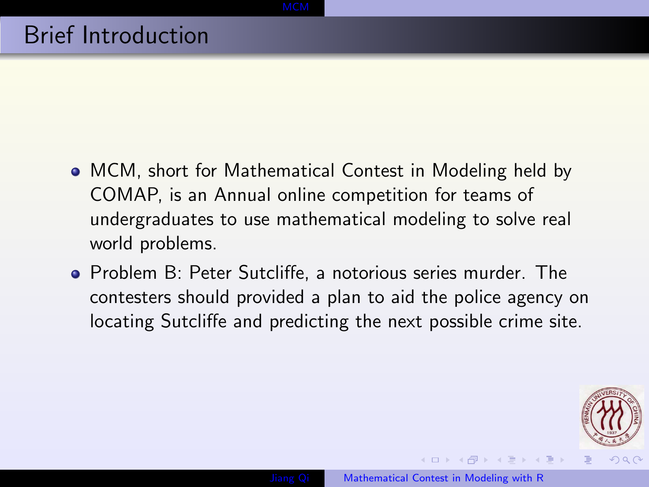- MCM, short for Mathematical Contest in Modeling held by COMAP, is an Annual online competition for teams of undergraduates to use mathematical modeling to solve real world problems.
- Problem B: Peter Sutcliffe, a notorious series murder. The contesters should provided a plan to aid the police agency on locating Sutcliffe and predicting the next possible crime site.

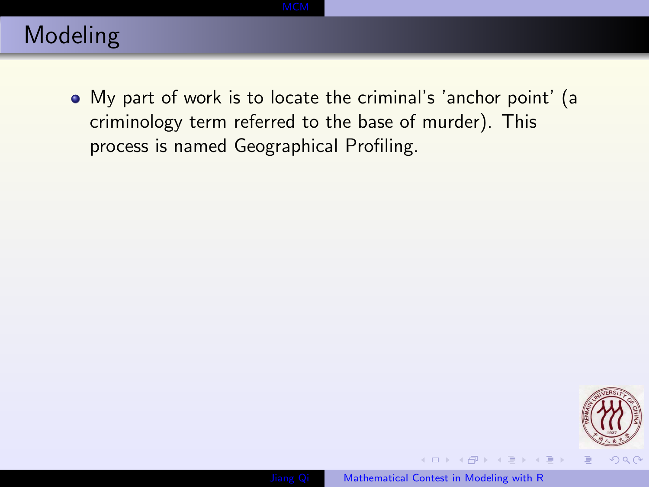My part of work is to locate the criminal's 'anchor point' (a criminology term referred to the base of murder). This process is named Geographical Profiling.





 $\mathcal{A} \subseteq \mathcal{P} \rightarrow \mathcal{A} \oplus \mathcal{P} \rightarrow \mathcal{A} \oplus \mathcal{P} \rightarrow \mathcal{A} \oplus \mathcal{P}$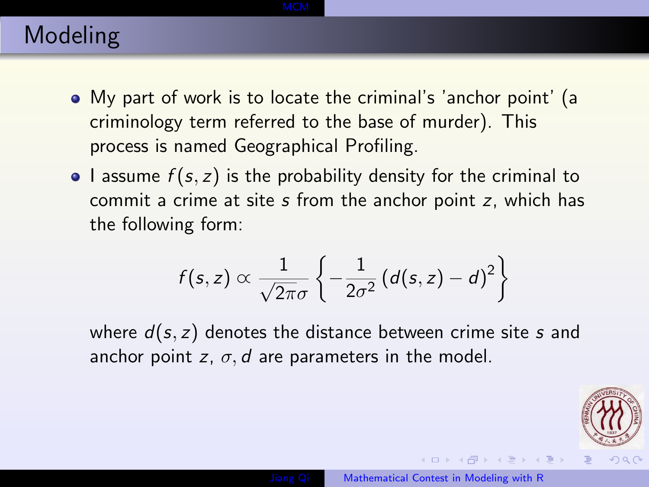- My part of work is to locate the criminal's 'anchor point' (a criminology term referred to the base of murder). This process is named Geographical Profiling.
- I assume  $f(s, z)$  is the probability density for the criminal to commit a crime at site s from the anchor point z, which has the following form:

$$
f(s,z) \propto \frac{1}{\sqrt{2\pi}\sigma} \left\{-\frac{1}{2\sigma^2} \left(d(s,z)-d\right)^2\right\}
$$

where  $d(s, z)$  denotes the distance between crime site s and anchor point z,  $\sigma$ , d are parameters in the model.



 $\left\{ \begin{array}{ccc} 1 & 0 & 0 \\ 0 & 1 & 0 \end{array} \right.$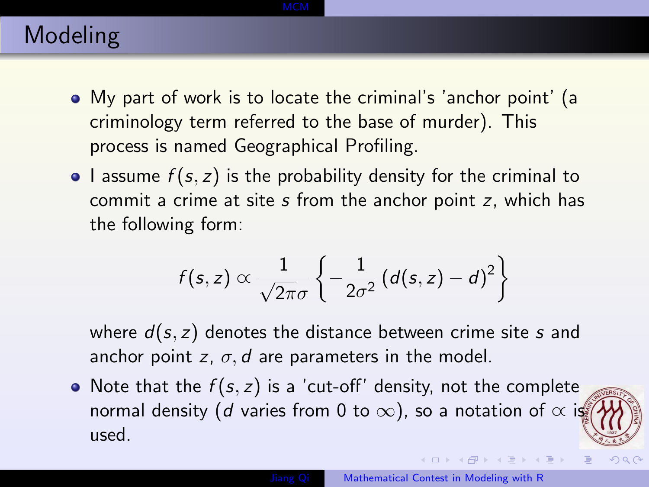- My part of work is to locate the criminal's 'anchor point' (a criminology term referred to the base of murder). This process is named Geographical Profiling.
- I assume  $f(s, z)$  is the probability density for the criminal to commit a crime at site s from the anchor point z, which has the following form:

$$
f(s,z) \propto \frac{1}{\sqrt{2\pi}\sigma} \left\{-\frac{1}{2\sigma^2} \left(d(s,z)-d\right)^2\right\}
$$

where  $d(s, z)$  denotes the distance between crime site s and anchor point z,  $\sigma$ , d are parameters in the model.

• Note that the  $f(s, z)$  is a 'cut-off' density, not the complete normal density (d varies from 0 to  $\infty$ ), so a notation of  $\infty$  is used.

 $\left\{ \begin{array}{ccc} 1 & 0 & 0 \\ 0 & 1 & 0 \end{array} \right.$ 

 $299$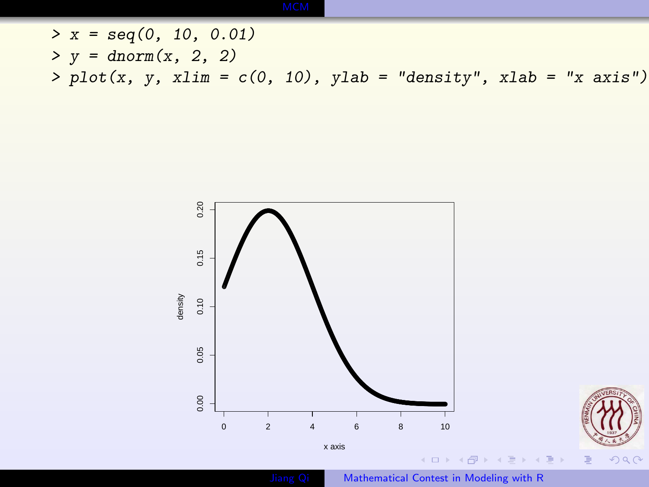$> x = seq(0, 10, 0.01)$  $> y = \text{dnorm}(x, 2, 2)$  $> plot(x, y, xlim = c(0, 10), ylab = "density", xlab = "x axis")$ 





 $299$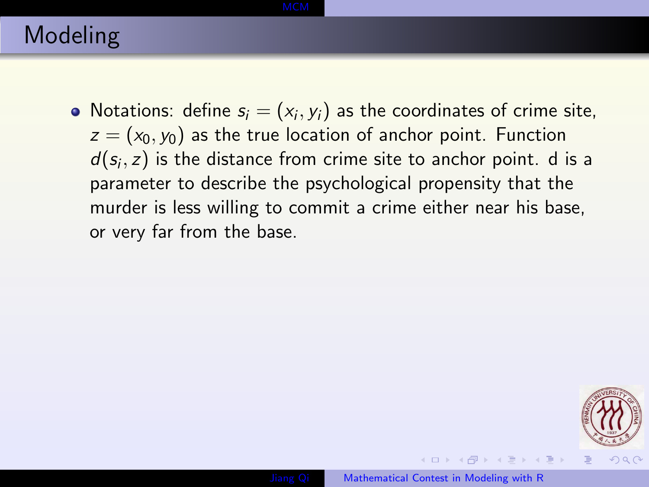Notations: define  $s_i = (x_i, y_i)$  as the coordinates of crime site,  $z = (x_0, y_0)$  as the true location of anchor point. Function  $d(s_i, z)$  is the distance from crime site to anchor point. d is a parameter to describe the psychological propensity that the murder is less willing to commit a crime either near his base, or very far from the base.

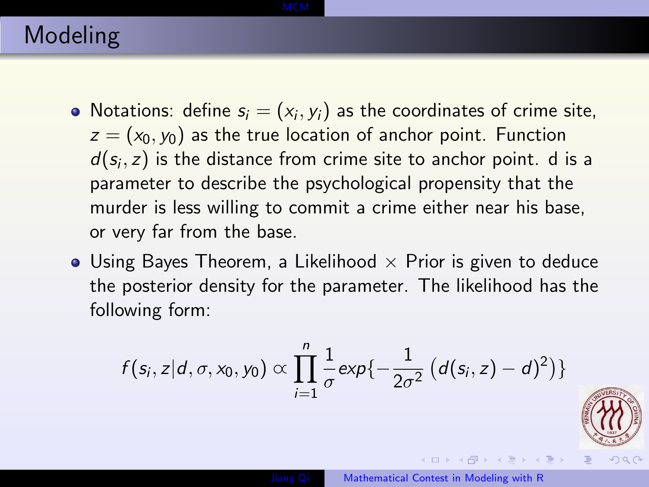- Notations: define  $s_i = (x_i, y_i)$  as the coordinates of crime site,  $z = (x_0, y_0)$  as the true location of anchor point. Function  $d(s_i, z)$  is the distance from crime site to anchor point. d is a parameter to describe the psychological propensity that the murder is less willing to commit a crime either near his base, or very far from the base.
- Using Bayes Theorem, a Likelihood  $\times$  Prior is given to deduce the posterior density for the parameter. The likelihood has the following form:

$$
f(s_i, z|d, \sigma, x_0, y_0) \propto \prod_{i=1}^n \frac{1}{\sigma} exp{-\frac{1}{2\sigma^2} (d(s_i, z) - d)^2)}
$$



 $200$ 

 $\mathcal{A} \subseteq \mathcal{P} \rightarrow \mathcal{A} \oplus \mathcal{P} \rightarrow \mathcal{A} \oplus \mathcal{P} \rightarrow \mathcal{A} \oplus \mathcal{P}$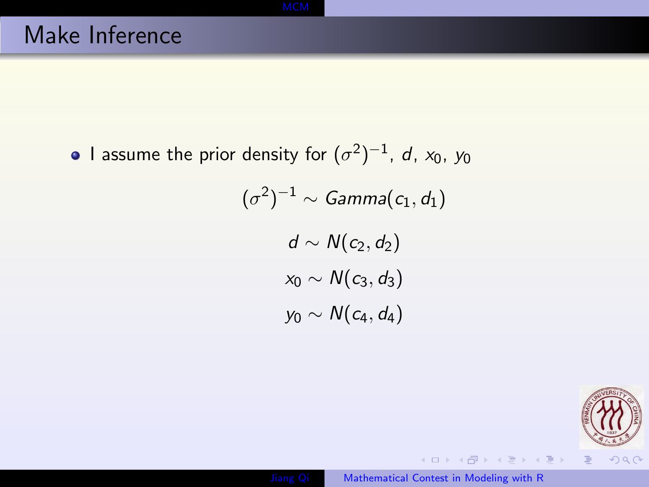I assume the prior density for  $(\sigma^2)^{-1}$ ,  $d$ ,  $x_0$ ,  $y_0$  $(\sigma^2)^{-1} \sim \mathit{Gamma}(c_1, d_1)$  $d \sim N(c_2, d_2)$  $x_0 \sim N(c_3, d_3)$  $y_0 \sim N(c_4, d_4)$ 



 $\mathcal{A} \subseteq \mathcal{P} \rightarrow \mathcal{A} \oplus \mathcal{P} \rightarrow \mathcal{A} \oplus \mathcal{P} \rightarrow \mathcal{A} \oplus \mathcal{P}.$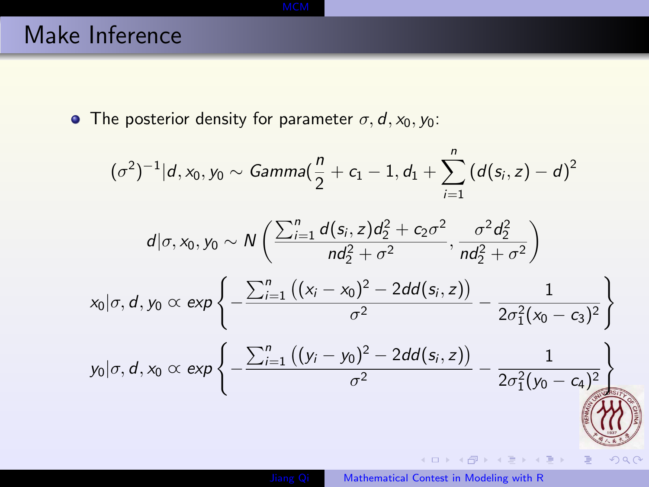# Make Inference

• The posterior density for parameter  $\sigma$ ,  $d$ ,  $x_0$ ,  $y_0$ :

$$
(\sigma^2)^{-1}|d, x_0, y_0 \sim \text{Gamma}\left(\frac{n}{2} + c_1 - 1, d_1 + \sum_{i=1}^n (d(s_i, z) - d)^2\right)
$$
  
\n
$$
d|\sigma, x_0, y_0 \sim N\left(\frac{\sum_{i=1}^n d(s_i, z)d_2^2 + c_2\sigma^2}{nd_2^2 + \sigma^2}, \frac{\sigma^2 d_2^2}{nd_2^2 + \sigma^2}\right)
$$
  
\n
$$
x_0|\sigma, d, y_0 \propto \exp\left\{-\frac{\sum_{i=1}^n ((x_i - x_0)^2 - 2dd(s_i, z))}{\sigma^2} - \frac{1}{2\sigma_1^2(x_0 - c_3)^2}\right\}
$$
  
\n
$$
y_0|\sigma, d, x_0 \propto \exp\left\{-\frac{\sum_{i=1}^n ((y_i - y_0)^2 - 2dd(s_i, z))}{\sigma^2} - \frac{1}{2\sigma_1^2(y_0 - c_4)^2}\right\}
$$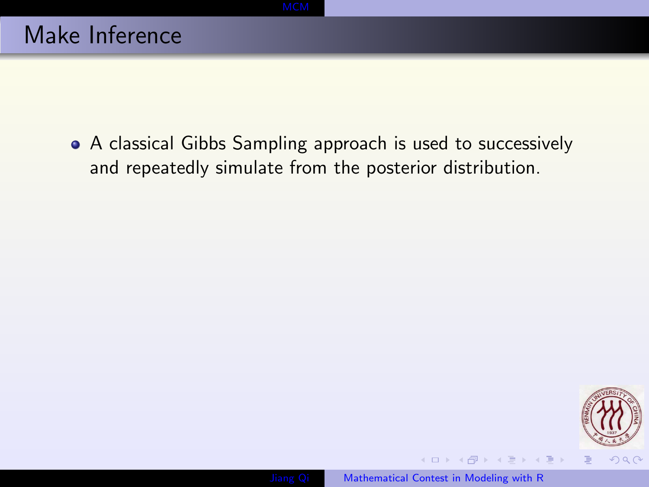A classical Gibbs Sampling approach is used to successively and repeatedly simulate from the posterior distribution.



 $\left\{ \begin{array}{ccc} \pm & \pm & \pm \end{array} \right.$  and  $\left\{ \begin{array}{ccc} \pm & \pm & \pm \end{array} \right.$  and  $\left\{ \begin{array}{ccc} \pm & \pm & \pm \end{array} \right.$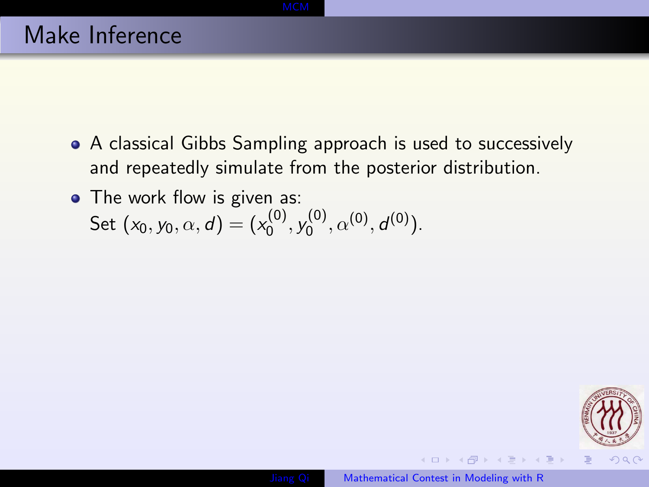- A classical Gibbs Sampling approach is used to successively and repeatedly simulate from the posterior distribution.
- The work flow is given as: Set  $(x_0, y_0, \alpha, d) = (x_0^{(0)})$  $y_0^{(0)},y_0^{(0)}$  $a^{(0)}, \alpha^{(0)}, d^{(0)}$ ).

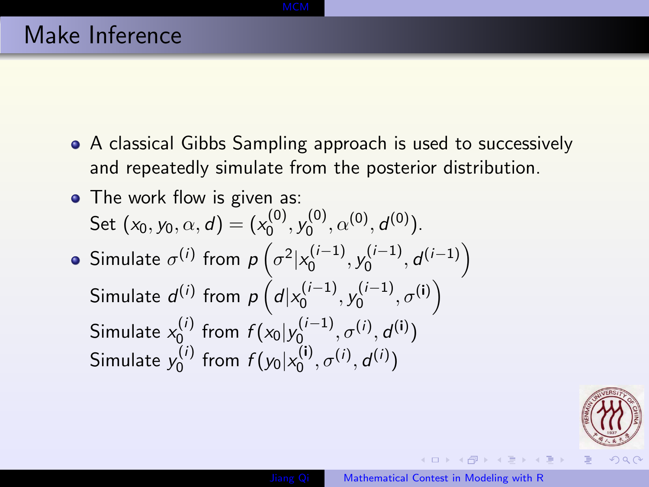- A classical Gibbs Sampling approach is used to successively and repeatedly simulate from the posterior distribution.
- The work flow is given as: Set  $(x_0, y_0, \alpha, d) = (x_0^{(0)})$  $y_0^{(0)},y_0^{(0)}$  $a^{(0)}, \alpha^{(0)}, d^{(0)}$ ). Simulate  $\sigma^{(i)}$  from  $p\left(\sigma^2|x_0^{(i-1)}\right)$  $\mathcal{N}_0^{(i-1)}, \mathcal{Y}_0^{(i-1)}$  $\left(\begin{smallmatrix} (i-1)\ 0 \end{smallmatrix}\right),d^{(i-1)}$ Simulate  $d^{(i)}$  from  $p\left(d|x_0^{(i-1)}\right)$  $\sigma^{(i-1)}_{0},\sigma^{(i)}\Big)$ 
	- $\mathcal{N}_0^{(i-1)}, \mathcal{Y}_0^{(i-1)}$ Simulate  $x_0^{(i)}$  $f(t)$  from  $f(x_0|y_0^{(i-1)})$  $\sigma^{(i-1)}, \sigma^{(i)}, d^{(i)}$ Simulate  $y_0^{(i)}$  $f_0^{(i)}$  from  $f(y_0|x_0^{(i)})$  $\sigma^{(i)}, \sigma^{(i)}, d^{(i)}$



イロメ イ何 メイヨメ イヨメ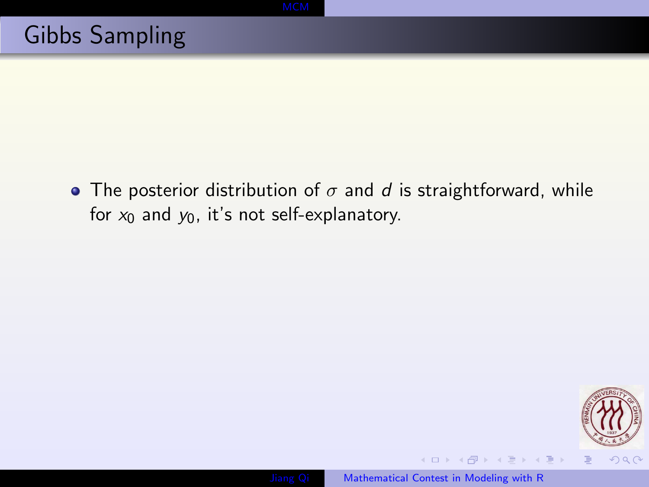• The posterior distribution of  $\sigma$  and  $d$  is straightforward, while for  $x_0$  and  $y_0$ , it's not self-explanatory.



 $\left\{ \begin{array}{ccc} \pm & \pm & \pm \end{array} \right.$  and  $\left\{ \begin{array}{ccc} \pm & \pm & \pm \end{array} \right.$  and  $\left\{ \begin{array}{ccc} \pm & \pm & \pm \end{array} \right.$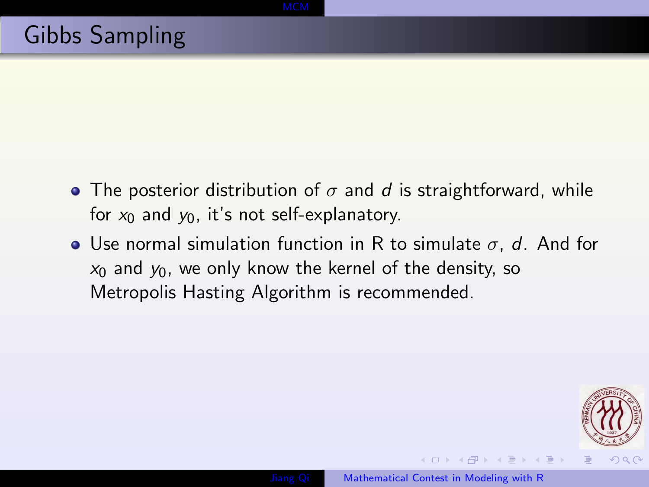- The posterior distribution of  $\sigma$  and d is straightforward, while for  $x_0$  and  $y_0$ , it's not self-explanatory.
- Use normal simulation function in R to simulate  $\sigma$ , d. And for  $x_0$  and  $y_0$ , we only know the kernel of the density, so Metropolis Hasting Algorithm is recommended.



ス 何 ト ス ヨ ト ス ヨ ト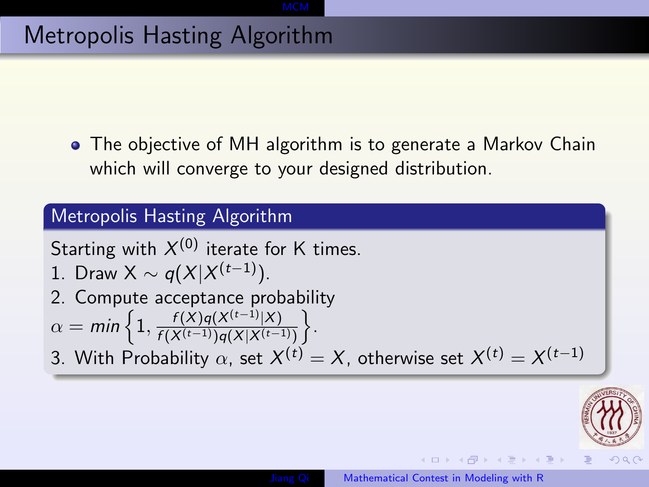### Metropolis Hasting Algorithm

• The objective of MH algorithm is to generate a Markov Chain which will converge to your designed distribution.

### Metropolis Hasting Algorithm

Starting with  $X^{(0)}$  iterate for K times.

- 1. Draw X  $\sim q(X|X^{(t-1)})$ .
- 2. Compute acceptance probability

$$
\alpha = \min\left\{1, \frac{f(X)q(X^{(t-1)}|X)}{f(X^{(t-1)})q(X|X^{(t-1)})}\right\}.
$$

3. With Probability  $\alpha$ , set  $X^{(t)}=X$ , otherwise set  $X^{(t)}=X^{(t-1)}$ 



 $\left\{ \begin{array}{ccc} 1 & 0 & 0 \\ 0 & 1 & 0 \end{array} \right.$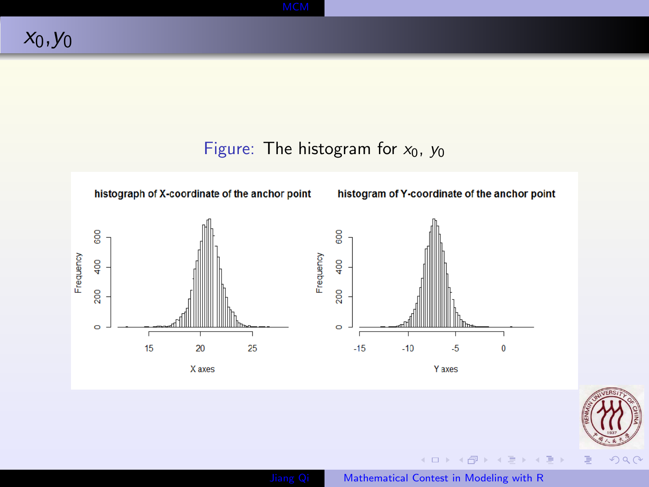### Figure: The histogram for  $x_0$ ,  $y_0$





 $299$ 

[Jiang Qi](file:jiangqi8908@gmail.com) [Mathematical Contest in Modeling with R](#page-0-0)

イロメ イ御メ イヨメ イヨメ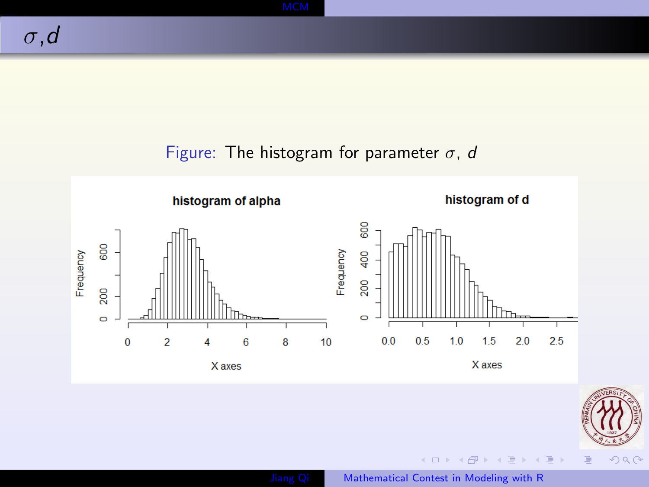### Figure: The histogram for parameter  $\sigma$ , d





 $299$ 

**K ロト K 御 ト K 君 ト K 君 ト**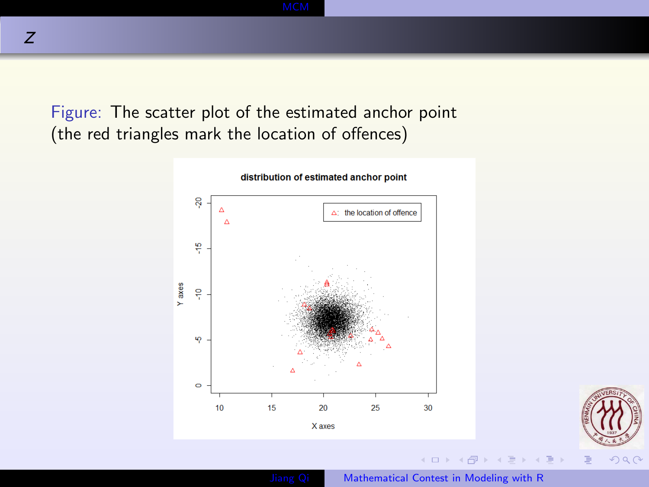Figure: The scatter plot of the estimated anchor point (the red triangles mark the location of offences)



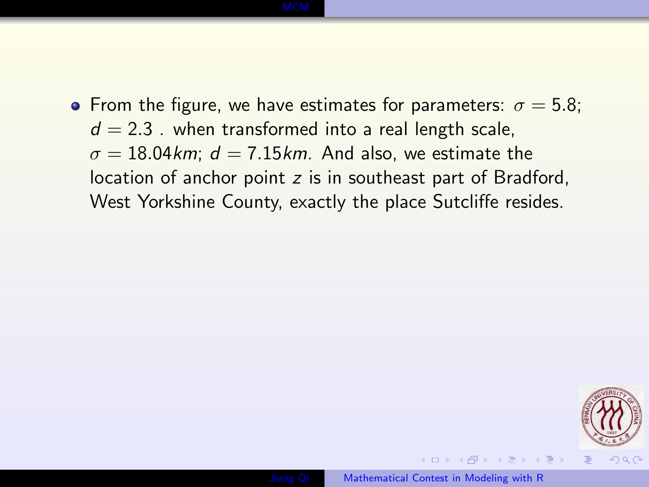### • From the figure, we have estimates for parameters:  $\sigma = 5.8$ ;  $d = 2.3$ . when transformed into a real length scale,  $\sigma = 18.04$  km;  $d = 7.15$  km. And also, we estimate the location of anchor point z is in southeast part of Bradford, West Yorkshine County, exactly the place Sutcliffe resides.

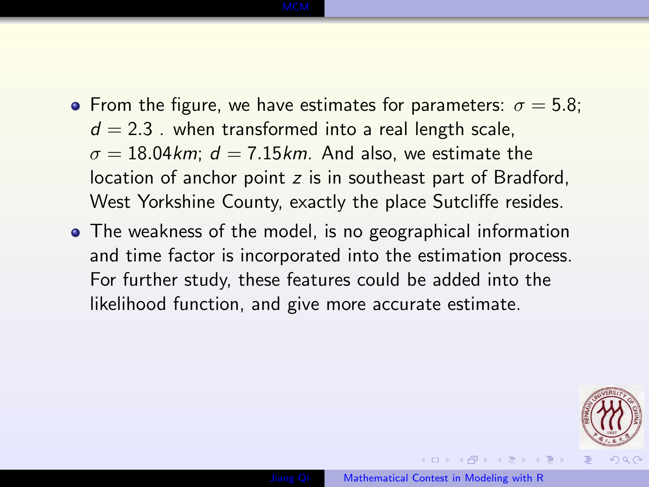### • From the figure, we have estimates for parameters:  $\sigma = 5.8$ ;  $d = 2.3$ . when transformed into a real length scale,  $\sigma = 18.04$  km;  $d = 7.15$  km. And also, we estimate the location of anchor point z is in southeast part of Bradford, West Yorkshine County, exactly the place Sutcliffe resides.

• The weakness of the model, is no geographical information and time factor is incorporated into the estimation process. For further study, these features could be added into the likelihood function, and give more accurate estimate.

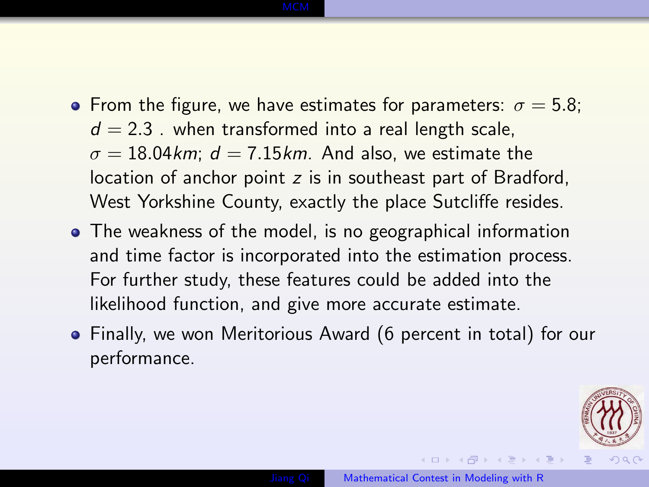### • From the figure, we have estimates for parameters:  $\sigma = 5.8$ ;  $d = 2.3$ . when transformed into a real length scale,  $\sigma = 18.04$  km;  $d = 7.15$  km. And also, we estimate the location of anchor point z is in southeast part of Bradford, West Yorkshine County, exactly the place Sutcliffe resides.

- The weakness of the model, is no geographical information and time factor is incorporated into the estimation process. For further study, these features could be added into the likelihood function, and give more accurate estimate.
- Finally, we won Meritorious Award (6 percent in total) for our performance.